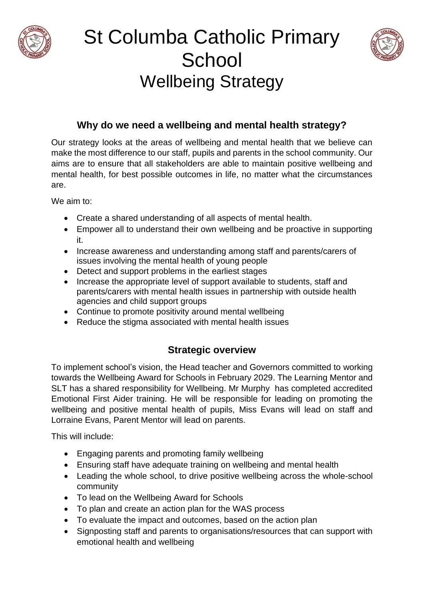





## **Why do we need a wellbeing and mental health strategy?**

Our strategy looks at the areas of wellbeing and mental health that we believe can make the most difference to our staff, pupils and parents in the school community. Our aims are to ensure that all stakeholders are able to maintain positive wellbeing and mental health, for best possible outcomes in life, no matter what the circumstances are.

We aim to:

- Create a shared understanding of all aspects of mental health.
- Empower all to understand their own wellbeing and be proactive in supporting it.
- Increase awareness and understanding among staff and parents/carers of issues involving the mental health of young people
- Detect and support problems in the earliest stages
- Increase the appropriate level of support available to students, staff and parents/carers with mental health issues in partnership with outside health agencies and child support groups
- Continue to promote positivity around mental wellbeing
- Reduce the stigma associated with mental health issues

## **Strategic overview**

To implement school's vision, the Head teacher and Governors committed to working towards the Wellbeing Award for Schools in February 2029. The Learning Mentor and SLT has a shared responsibility for Wellbeing. Mr Murphy has completed accredited Emotional First Aider training. He will be responsible for leading on promoting the wellbeing and positive mental health of pupils, Miss Evans will lead on staff and Lorraine Evans, Parent Mentor will lead on parents.

This will include:

- Engaging parents and promoting family wellbeing
- Ensuring staff have adequate training on wellbeing and mental health
- Leading the whole school, to drive positive wellbeing across the whole-school community
- To lead on the Wellbeing Award for Schools
- To plan and create an action plan for the WAS process
- To evaluate the impact and outcomes, based on the action plan
- Signposting staff and parents to organisations/resources that can support with emotional health and wellbeing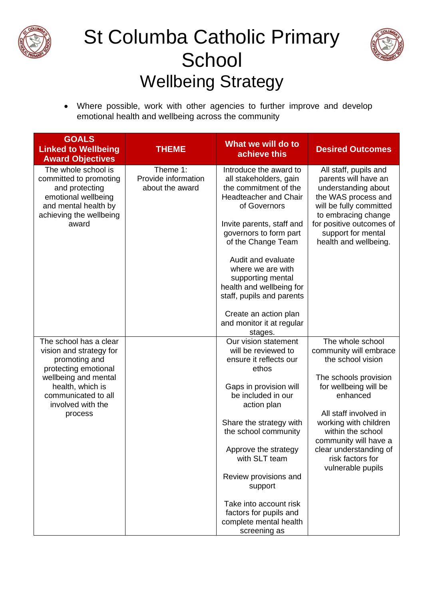

## St Columba Catholic Primary **School** Wellbeing Strategy



• Where possible, work with other agencies to further improve and develop emotional health and wellbeing across the community

| <b>GOALS</b><br><b>Linked to Wellbeing</b><br><b>Award Objectives</b>                                                                                                                         | <b>THEME</b>                                       | What we will do to<br>achieve this                                                                                                                                                                                                                                                                                                                                                               | <b>Desired Outcomes</b>                                                                                                                                                                                                                                                                          |
|-----------------------------------------------------------------------------------------------------------------------------------------------------------------------------------------------|----------------------------------------------------|--------------------------------------------------------------------------------------------------------------------------------------------------------------------------------------------------------------------------------------------------------------------------------------------------------------------------------------------------------------------------------------------------|--------------------------------------------------------------------------------------------------------------------------------------------------------------------------------------------------------------------------------------------------------------------------------------------------|
| The whole school is<br>committed to promoting<br>and protecting<br>emotional wellbeing<br>and mental health by<br>achieving the wellbeing<br>award                                            | Theme 1:<br>Provide information<br>about the award | Introduce the award to<br>all stakeholders, gain<br>the commitment of the<br><b>Headteacher and Chair</b><br>of Governors<br>Invite parents, staff and<br>governors to form part<br>of the Change Team<br>Audit and evaluate<br>where we are with<br>supporting mental<br>health and wellbeing for<br>staff, pupils and parents<br>Create an action plan<br>and monitor it at regular<br>stages. | All staff, pupils and<br>parents will have an<br>understanding about<br>the WAS process and<br>will be fully committed<br>to embracing change<br>for positive outcomes of<br>support for mental<br>health and wellbeing.                                                                         |
| The school has a clear<br>vision and strategy for<br>promoting and<br>protecting emotional<br>wellbeing and mental<br>health, which is<br>communicated to all<br>involved with the<br>process |                                                    | Our vision statement<br>will be reviewed to<br>ensure it reflects our<br>ethos<br>Gaps in provision will<br>be included in our<br>action plan<br>Share the strategy with<br>the school community<br>Approve the strategy<br>with SLT team<br>Review provisions and<br>support<br>Take into account risk<br>factors for pupils and<br>complete mental health<br>screening as                      | The whole school<br>community will embrace<br>the school vision<br>The schools provision<br>for wellbeing will be<br>enhanced<br>All staff involved in<br>working with children<br>within the school<br>community will have a<br>clear understanding of<br>risk factors for<br>vulnerable pupils |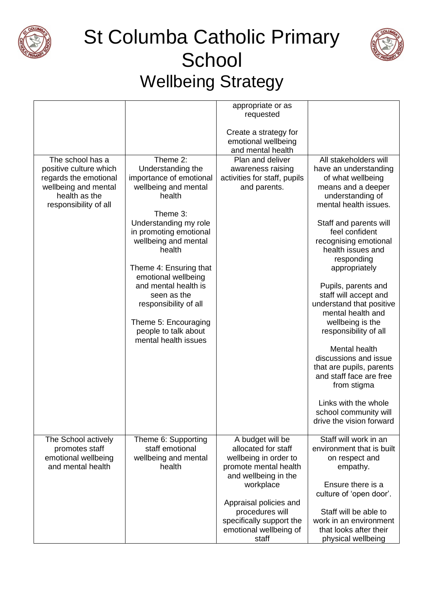





|                                                                                                                                       |                                                                                                                                                                                                                                                                                                                                                                                      | appropriate or as<br>requested                                                                                                                                                                                                             |                                                                                                                                                                                                                                                                                                                                                                                                                                                                                                                                                                                                            |
|---------------------------------------------------------------------------------------------------------------------------------------|--------------------------------------------------------------------------------------------------------------------------------------------------------------------------------------------------------------------------------------------------------------------------------------------------------------------------------------------------------------------------------------|--------------------------------------------------------------------------------------------------------------------------------------------------------------------------------------------------------------------------------------------|------------------------------------------------------------------------------------------------------------------------------------------------------------------------------------------------------------------------------------------------------------------------------------------------------------------------------------------------------------------------------------------------------------------------------------------------------------------------------------------------------------------------------------------------------------------------------------------------------------|
|                                                                                                                                       |                                                                                                                                                                                                                                                                                                                                                                                      | Create a strategy for<br>emotional wellbeing<br>and mental health                                                                                                                                                                          |                                                                                                                                                                                                                                                                                                                                                                                                                                                                                                                                                                                                            |
| The school has a<br>positive culture which<br>regards the emotional<br>wellbeing and mental<br>health as the<br>responsibility of all | Theme 2:<br>Understanding the<br>importance of emotional<br>wellbeing and mental<br>health<br>Theme 3:<br>Understanding my role<br>in promoting emotional<br>wellbeing and mental<br>health<br>Theme 4: Ensuring that<br>emotional wellbeing<br>and mental health is<br>seen as the<br>responsibility of all<br>Theme 5: Encouraging<br>people to talk about<br>mental health issues | Plan and deliver<br>awareness raising<br>activities for staff, pupils<br>and parents.                                                                                                                                                      | All stakeholders will<br>have an understanding<br>of what wellbeing<br>means and a deeper<br>understanding of<br>mental health issues.<br>Staff and parents will<br>feel confident<br>recognising emotional<br>health issues and<br>responding<br>appropriately<br>Pupils, parents and<br>staff will accept and<br>understand that positive<br>mental health and<br>wellbeing is the<br>responsibility of all<br>Mental health<br>discussions and issue<br>that are pupils, parents<br>and staff face are free<br>from stigma<br>Links with the whole<br>school community will<br>drive the vision forward |
| The School actively<br>promotes staff<br>emotional wellbeing<br>and mental health                                                     | Theme 6: Supporting<br>staff emotional<br>wellbeing and mental<br>health                                                                                                                                                                                                                                                                                                             | A budget will be<br>allocated for staff<br>wellbeing in order to<br>promote mental health<br>and wellbeing in the<br>workplace<br>Appraisal policies and<br>procedures will<br>specifically support the<br>emotional wellbeing of<br>staff | Staff will work in an<br>environment that is built<br>on respect and<br>empathy.<br>Ensure there is a<br>culture of 'open door'.<br>Staff will be able to<br>work in an environment<br>that looks after their<br>physical wellbeing                                                                                                                                                                                                                                                                                                                                                                        |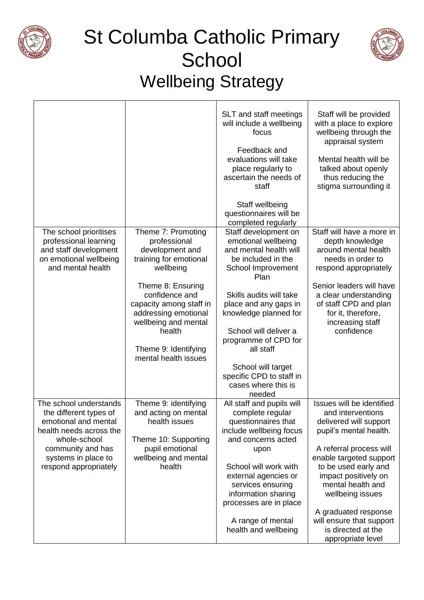

## St Columba Catholic Primary **School** Wellbeing Strategy



|                                                                                                                         |                                                                                                                                     | SLT and staff meetings<br>will include a wellbeing<br>focus<br>Feedback and<br>evaluations will take<br>place regularly to<br>ascertain the needs of<br>staff | Staff will be provided<br>with a place to explore<br>wellbeing through the<br>appraisal system<br>Mental health will be<br>talked about openly<br>thus reducing the<br>stigma surrounding it |
|-------------------------------------------------------------------------------------------------------------------------|-------------------------------------------------------------------------------------------------------------------------------------|---------------------------------------------------------------------------------------------------------------------------------------------------------------|----------------------------------------------------------------------------------------------------------------------------------------------------------------------------------------------|
|                                                                                                                         |                                                                                                                                     | Staff wellbeing<br>questionnaires will be<br>completed regularly                                                                                              |                                                                                                                                                                                              |
| The school prioritises<br>professional learning<br>and staff development<br>on emotional wellbeing<br>and mental health | Theme 7: Promoting<br>professional<br>development and<br>training for emotional<br>wellbeing<br>Theme 8: Ensuring<br>confidence and | Staff development on<br>emotional wellbeing<br>and mental health will<br>be included in the<br>School Improvement<br>Plan<br>Skills audits will take          | Staff will have a more in<br>depth knowledge<br>around mental health<br>needs in order to<br>respond appropriately<br>Senior leaders will have<br>a clear understanding                      |
|                                                                                                                         | capacity among staff in<br>addressing emotional<br>wellbeing and mental<br>health<br>Theme 9: Identifying<br>mental health issues   | place and any gaps in<br>knowledge planned for<br>School will deliver a<br>programme of CPD for<br>all staff                                                  | of staff CPD and plan<br>for it, therefore,<br>increasing staff<br>confidence                                                                                                                |
|                                                                                                                         |                                                                                                                                     | School will target<br>specific CPD to staff in<br>cases where this is<br>needed                                                                               |                                                                                                                                                                                              |
| The school understands<br>the different types of<br>emotional and mental<br>health needs across the<br>whole-school     | Theme 9: identifying<br>and acting on mental<br>health issues<br>Theme 10: Supporting                                               | All staff and pupils will<br>complete regular<br>questionnaires that<br>include wellbeing focus<br>and concerns acted                                         | Issues will be identified<br>and interventions<br>delivered will support<br>pupil's mental health.                                                                                           |
| community and has<br>systems in place to<br>respond appropriately                                                       | pupil emotional<br>wellbeing and mental<br>health                                                                                   | upon<br>School will work with<br>external agencies or<br>services ensuring<br>information sharing<br>processes are in place                                   | A referral process will<br>enable targeted support<br>to be used early and<br>impact positively on<br>mental health and<br>wellbeing issues<br>A graduated response                          |
|                                                                                                                         |                                                                                                                                     | A range of mental<br>health and wellbeing                                                                                                                     | will ensure that support<br>is directed at the<br>appropriate level                                                                                                                          |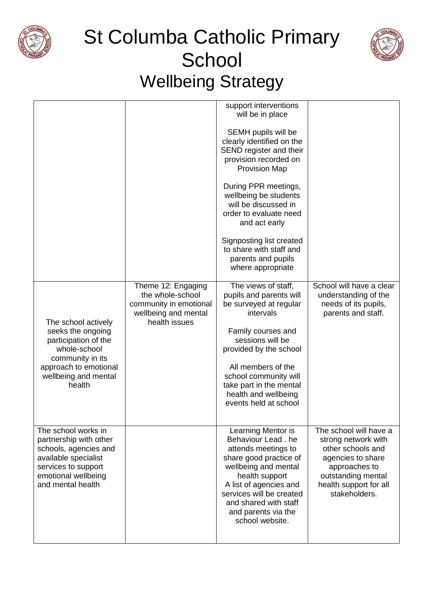





|                                                                                                                                                                   |                                                                                                           | support interventions<br>will be in place                                                                                                                                                                                                                                            |                                                                                                                                                                           |
|-------------------------------------------------------------------------------------------------------------------------------------------------------------------|-----------------------------------------------------------------------------------------------------------|--------------------------------------------------------------------------------------------------------------------------------------------------------------------------------------------------------------------------------------------------------------------------------------|---------------------------------------------------------------------------------------------------------------------------------------------------------------------------|
|                                                                                                                                                                   |                                                                                                           | SEMH pupils will be<br>clearly identified on the<br>SEND register and their<br>provision recorded on<br><b>Provision Map</b>                                                                                                                                                         |                                                                                                                                                                           |
|                                                                                                                                                                   |                                                                                                           | During PPR meetings,<br>wellbeing be students<br>will be discussed in<br>order to evaluate need<br>and act early                                                                                                                                                                     |                                                                                                                                                                           |
|                                                                                                                                                                   |                                                                                                           | Signposting list created<br>to share with staff and<br>parents and pupils<br>where appropriate                                                                                                                                                                                       |                                                                                                                                                                           |
| The school actively<br>seeks the ongoing<br>participation of the<br>whole-school<br>community in its<br>approach to emotional<br>wellbeing and mental<br>health   | Theme 12: Engaging<br>the whole-school<br>community in emotional<br>wellbeing and mental<br>health issues | The views of staff,<br>pupils and parents will<br>be surveyed at regular<br>intervals<br>Family courses and<br>sessions will be<br>provided by the school<br>All members of the<br>school community will<br>take part in the mental<br>health and wellbeing<br>events held at school | School will have a clear<br>understanding of the<br>needs of its pupils,<br>parents and staff.                                                                            |
| The school works in<br>partnership with other<br>schools, agencies and<br>available specialist<br>services to support<br>emotional wellbeing<br>and mental health |                                                                                                           | Learning Mentor is<br>Behaviour Lead. he<br>attends meetings to<br>share good practice of<br>wellbeing and mental<br>health support<br>A list of agencies and<br>services will be created<br>and shared with staff<br>and parents via the<br>school website.                         | The school will have a<br>strong network with<br>other schools and<br>agencies to share<br>approaches to<br>outstanding mental<br>health support for all<br>stakeholders. |